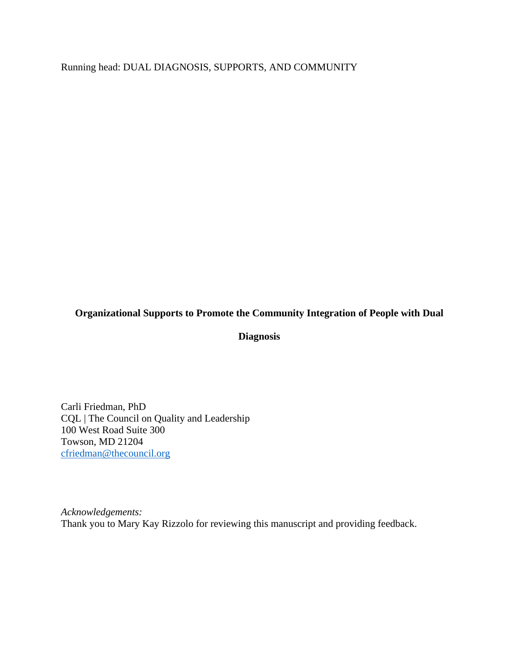Running head: DUAL DIAGNOSIS, SUPPORTS, AND COMMUNITY

# **Organizational Supports to Promote the Community Integration of People with Dual**

## **Diagnosis**

Carli Friedman, PhD CQL | The Council on Quality and Leadership 100 West Road Suite 300 Towson, MD 21204 cfriedman@thecouncil.org

*Acknowledgements:*  Thank you to Mary Kay Rizzolo for reviewing this manuscript and providing feedback.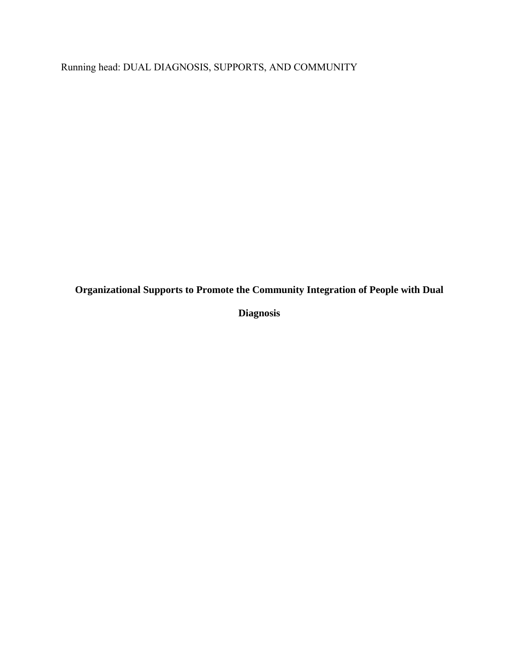Running head: DUAL DIAGNOSIS, SUPPORTS, AND COMMUNITY

**Organizational Supports to Promote the Community Integration of People with Dual** 

**Diagnosis**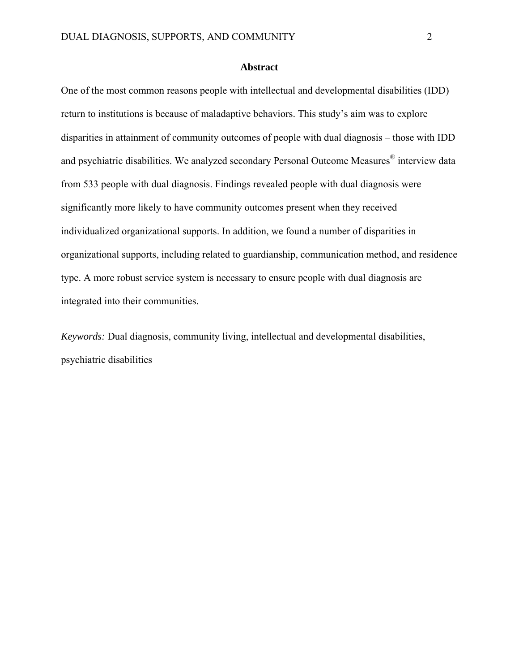# **Abstract**

One of the most common reasons people with intellectual and developmental disabilities (IDD) return to institutions is because of maladaptive behaviors. This study's aim was to explore disparities in attainment of community outcomes of people with dual diagnosis – those with IDD and psychiatric disabilities. We analyzed secondary Personal Outcome Measures<sup>®</sup> interview data from 533 people with dual diagnosis. Findings revealed people with dual diagnosis were significantly more likely to have community outcomes present when they received individualized organizational supports. In addition, we found a number of disparities in organizational supports, including related to guardianship, communication method, and residence type. A more robust service system is necessary to ensure people with dual diagnosis are integrated into their communities.

*Keywords:* Dual diagnosis, community living, intellectual and developmental disabilities, psychiatric disabilities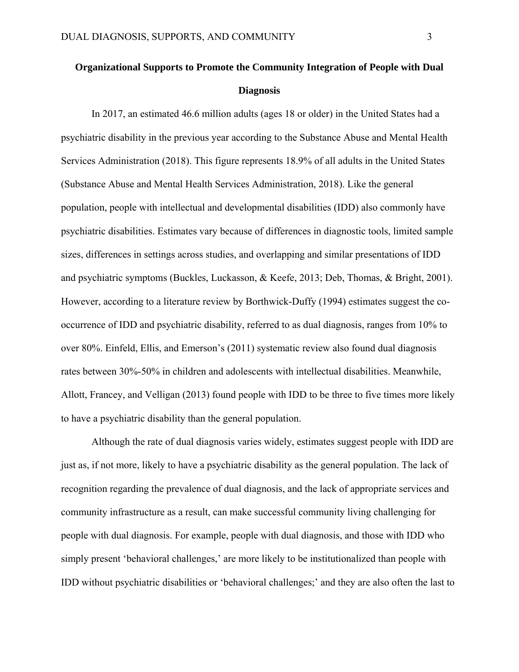# **Organizational Supports to Promote the Community Integration of People with Dual Diagnosis**

In 2017, an estimated 46.6 million adults (ages 18 or older) in the United States had a psychiatric disability in the previous year according to the Substance Abuse and Mental Health Services Administration (2018). This figure represents 18.9% of all adults in the United States (Substance Abuse and Mental Health Services Administration, 2018). Like the general population, people with intellectual and developmental disabilities (IDD) also commonly have psychiatric disabilities. Estimates vary because of differences in diagnostic tools, limited sample sizes, differences in settings across studies, and overlapping and similar presentations of IDD and psychiatric symptoms (Buckles, Luckasson, & Keefe, 2013; Deb, Thomas, & Bright, 2001). However, according to a literature review by Borthwick-Duffy (1994) estimates suggest the cooccurrence of IDD and psychiatric disability, referred to as dual diagnosis, ranges from 10% to over 80%. Einfeld, Ellis, and Emerson's (2011) systematic review also found dual diagnosis rates between 30%-50% in children and adolescents with intellectual disabilities. Meanwhile, Allott, Francey, and Velligan (2013) found people with IDD to be three to five times more likely to have a psychiatric disability than the general population.

Although the rate of dual diagnosis varies widely, estimates suggest people with IDD are just as, if not more, likely to have a psychiatric disability as the general population. The lack of recognition regarding the prevalence of dual diagnosis, and the lack of appropriate services and community infrastructure as a result, can make successful community living challenging for people with dual diagnosis. For example, people with dual diagnosis, and those with IDD who simply present 'behavioral challenges,' are more likely to be institutionalized than people with IDD without psychiatric disabilities or 'behavioral challenges;' and they are also often the last to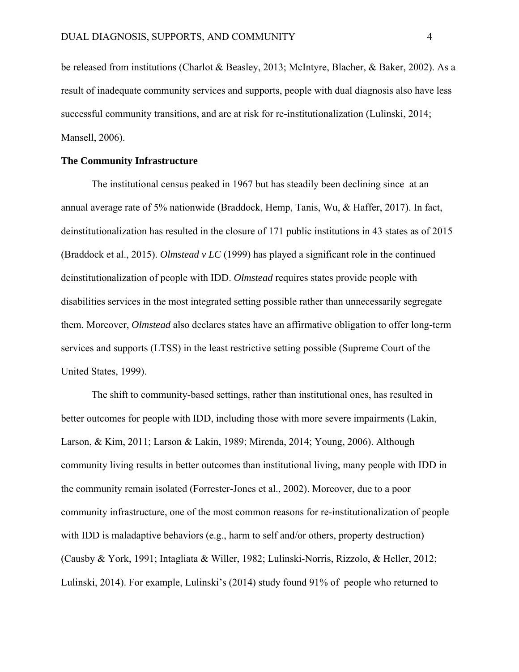be released from institutions (Charlot & Beasley, 2013; McIntyre, Blacher, & Baker, 2002). As a result of inadequate community services and supports, people with dual diagnosis also have less successful community transitions, and are at risk for re-institutionalization (Lulinski, 2014; Mansell, 2006).

#### **The Community Infrastructure**

The institutional census peaked in 1967 but has steadily been declining since at an annual average rate of 5% nationwide (Braddock, Hemp, Tanis, Wu, & Haffer, 2017). In fact, deinstitutionalization has resulted in the closure of 171 public institutions in 43 states as of 2015 (Braddock et al., 2015). *Olmstead v LC* (1999) has played a significant role in the continued deinstitutionalization of people with IDD. *Olmstead* requires states provide people with disabilities services in the most integrated setting possible rather than unnecessarily segregate them. Moreover, *Olmstead* also declares states have an affirmative obligation to offer long-term services and supports (LTSS) in the least restrictive setting possible (Supreme Court of the United States, 1999).

The shift to community-based settings, rather than institutional ones, has resulted in better outcomes for people with IDD, including those with more severe impairments (Lakin, Larson, & Kim, 2011; Larson & Lakin, 1989; Mirenda, 2014; Young, 2006). Although community living results in better outcomes than institutional living, many people with IDD in the community remain isolated (Forrester-Jones et al., 2002). Moreover, due to a poor community infrastructure, one of the most common reasons for re-institutionalization of people with IDD is maladaptive behaviors (e.g., harm to self and/or others, property destruction) (Causby & York, 1991; Intagliata & Willer, 1982; Lulinski-Norris, Rizzolo, & Heller, 2012; Lulinski, 2014). For example, Lulinski's (2014) study found 91% of people who returned to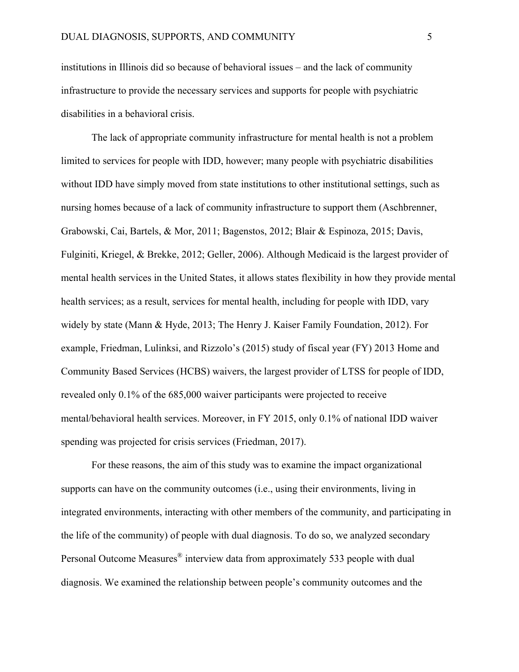institutions in Illinois did so because of behavioral issues – and the lack of community infrastructure to provide the necessary services and supports for people with psychiatric disabilities in a behavioral crisis.

The lack of appropriate community infrastructure for mental health is not a problem limited to services for people with IDD, however; many people with psychiatric disabilities without IDD have simply moved from state institutions to other institutional settings, such as nursing homes because of a lack of community infrastructure to support them (Aschbrenner, Grabowski, Cai, Bartels, & Mor, 2011; Bagenstos, 2012; Blair & Espinoza, 2015; Davis, Fulginiti, Kriegel, & Brekke, 2012; Geller, 2006). Although Medicaid is the largest provider of mental health services in the United States, it allows states flexibility in how they provide mental health services; as a result, services for mental health, including for people with IDD, vary widely by state (Mann & Hyde, 2013; The Henry J. Kaiser Family Foundation, 2012). For example, Friedman, Lulinksi, and Rizzolo's (2015) study of fiscal year (FY) 2013 Home and Community Based Services (HCBS) waivers, the largest provider of LTSS for people of IDD, revealed only 0.1% of the 685,000 waiver participants were projected to receive mental/behavioral health services. Moreover, in FY 2015, only 0.1% of national IDD waiver spending was projected for crisis services (Friedman, 2017).

For these reasons, the aim of this study was to examine the impact organizational supports can have on the community outcomes (i.e., using their environments, living in integrated environments, interacting with other members of the community, and participating in the life of the community) of people with dual diagnosis. To do so, we analyzed secondary Personal Outcome Measures® interview data from approximately 533 people with dual diagnosis. We examined the relationship between people's community outcomes and the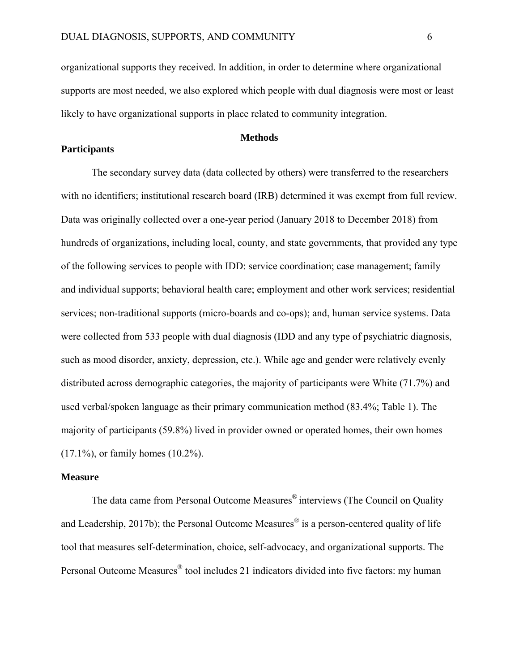organizational supports they received. In addition, in order to determine where organizational supports are most needed, we also explored which people with dual diagnosis were most or least likely to have organizational supports in place related to community integration.

#### **Methods**

# **Participants**

The secondary survey data (data collected by others) were transferred to the researchers with no identifiers; institutional research board (IRB) determined it was exempt from full review. Data was originally collected over a one-year period (January 2018 to December 2018) from hundreds of organizations, including local, county, and state governments, that provided any type of the following services to people with IDD: service coordination; case management; family and individual supports; behavioral health care; employment and other work services; residential services; non-traditional supports (micro-boards and co-ops); and, human service systems. Data were collected from 533 people with dual diagnosis (IDD and any type of psychiatric diagnosis, such as mood disorder, anxiety, depression, etc.). While age and gender were relatively evenly distributed across demographic categories, the majority of participants were White (71.7%) and used verbal/spoken language as their primary communication method (83.4%; Table 1). The majority of participants (59.8%) lived in provider owned or operated homes, their own homes (17.1%), or family homes (10.2%).

#### **Measure**

The data came from Personal Outcome Measures<sup>®</sup> interviews (The Council on Quality and Leadership, 2017b); the Personal Outcome Measures<sup>®</sup> is a person-centered quality of life tool that measures self-determination, choice, self-advocacy, and organizational supports. The Personal Outcome Measures® tool includes 21 indicators divided into five factors: my human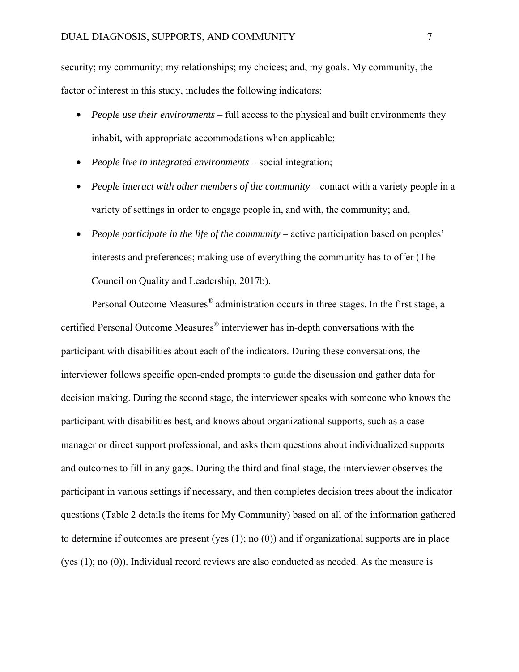security; my community; my relationships; my choices; and, my goals. My community, the factor of interest in this study, includes the following indicators:

- *People use their environments* full access to the physical and built environments they inhabit, with appropriate accommodations when applicable;
- *People live in integrated environments*  social integration;
- *People interact with other members of the community* contact with a variety people in a variety of settings in order to engage people in, and with, the community; and,
- *People participate in the life of the community* active participation based on peoples' interests and preferences; making use of everything the community has to offer (The Council on Quality and Leadership, 2017b).

Personal Outcome Measures® administration occurs in three stages. In the first stage, a certified Personal Outcome Measures® interviewer has in-depth conversations with the participant with disabilities about each of the indicators. During these conversations, the interviewer follows specific open-ended prompts to guide the discussion and gather data for decision making. During the second stage, the interviewer speaks with someone who knows the participant with disabilities best, and knows about organizational supports, such as a case manager or direct support professional, and asks them questions about individualized supports and outcomes to fill in any gaps. During the third and final stage, the interviewer observes the participant in various settings if necessary, and then completes decision trees about the indicator questions (Table 2 details the items for My Community) based on all of the information gathered to determine if outcomes are present (yes (1); no (0)) and if organizational supports are in place (yes (1); no (0)). Individual record reviews are also conducted as needed. As the measure is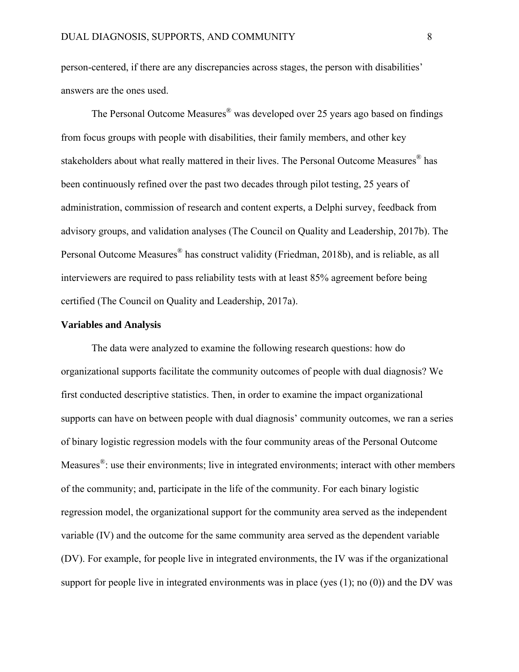person-centered, if there are any discrepancies across stages, the person with disabilities' answers are the ones used.

The Personal Outcome Measures® was developed over 25 years ago based on findings from focus groups with people with disabilities, their family members, and other key stakeholders about what really mattered in their lives. The Personal Outcome Measures<sup>®</sup> has been continuously refined over the past two decades through pilot testing, 25 years of administration, commission of research and content experts, a Delphi survey, feedback from advisory groups, and validation analyses (The Council on Quality and Leadership, 2017b). The Personal Outcome Measures® has construct validity (Friedman, 2018b), and is reliable, as all interviewers are required to pass reliability tests with at least 85% agreement before being certified (The Council on Quality and Leadership, 2017a).

#### **Variables and Analysis**

The data were analyzed to examine the following research questions: how do organizational supports facilitate the community outcomes of people with dual diagnosis? We first conducted descriptive statistics. Then, in order to examine the impact organizational supports can have on between people with dual diagnosis' community outcomes, we ran a series of binary logistic regression models with the four community areas of the Personal Outcome Measures<sup>®</sup>: use their environments; live in integrated environments; interact with other members of the community; and, participate in the life of the community. For each binary logistic regression model, the organizational support for the community area served as the independent variable (IV) and the outcome for the same community area served as the dependent variable (DV). For example, for people live in integrated environments, the IV was if the organizational support for people live in integrated environments was in place (yes  $(1)$ ; no  $(0)$ ) and the DV was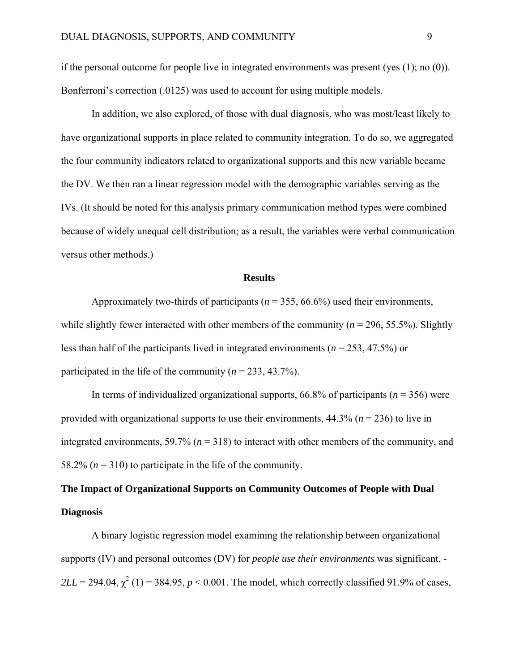if the personal outcome for people live in integrated environments was present (yes (1); no (0)). Bonferroni's correction (.0125) was used to account for using multiple models.

In addition, we also explored, of those with dual diagnosis, who was most/least likely to have organizational supports in place related to community integration. To do so, we aggregated the four community indicators related to organizational supports and this new variable became the DV. We then ran a linear regression model with the demographic variables serving as the IVs. (It should be noted for this analysis primary communication method types were combined because of widely unequal cell distribution; as a result, the variables were verbal communication versus other methods.)

#### **Results**

Approximately two-thirds of participants (*n* = 355, 66.6%) used their environments, while slightly fewer interacted with other members of the community ( $n = 296, 55.5\%$ ). Slightly less than half of the participants lived in integrated environments (*n* = 253, 47.5%) or participated in the life of the community ( $n = 233, 43.7\%$ ).

In terms of individualized organizational supports,  $66.8\%$  of participants ( $n = 356$ ) were provided with organizational supports to use their environments, 44.3% (*n* = 236) to live in integrated environments, 59.7% ( $n = 318$ ) to interact with other members of the community, and 58.2% ( $n = 310$ ) to participate in the life of the community.

# **The Impact of Organizational Supports on Community Outcomes of People with Dual Diagnosis**

A binary logistic regression model examining the relationship between organizational supports (IV) and personal outcomes (DV) for *people use their environments* was significant, *-*  $2LL = 294.04$ ,  $\chi^2$  (1) = 384.95, *p* < 0.001. The model, which correctly classified 91.9% of cases,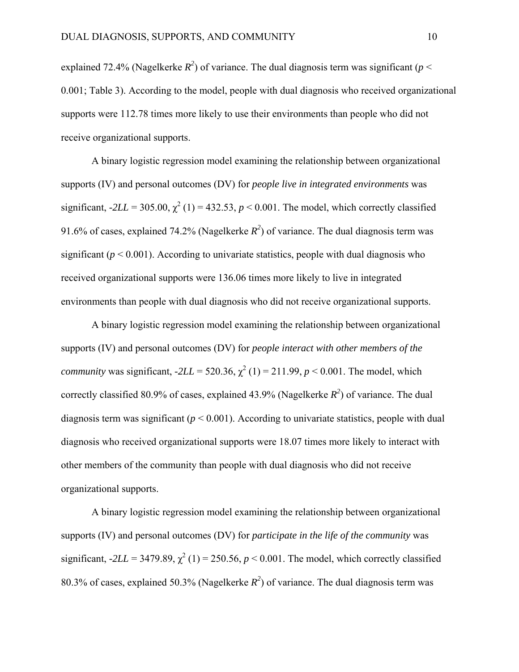explained 72.4% (Nagelkerke  $R^2$ ) of variance. The dual diagnosis term was significant ( $p <$ 0.001; Table 3). According to the model, people with dual diagnosis who received organizational supports were 112.78 times more likely to use their environments than people who did not receive organizational supports.

A binary logistic regression model examining the relationship between organizational supports (IV) and personal outcomes (DV) for *people live in integrated environments* was significant,  $-2LL = 305.00$ ,  $\chi^2$  (1) = 432.53, *p* < 0.001. The model, which correctly classified 91.6% of cases, explained 74.2% (Nagelkerke  $R^2$ ) of variance. The dual diagnosis term was significant ( $p < 0.001$ ). According to univariate statistics, people with dual diagnosis who received organizational supports were 136.06 times more likely to live in integrated environments than people with dual diagnosis who did not receive organizational supports.

A binary logistic regression model examining the relationship between organizational supports (IV) and personal outcomes (DV) for *people interact with other members of the community* was significant,  $-2LL = 520.36$ ,  $\chi^2(1) = 211.99$ ,  $p < 0.001$ . The model, which correctly classified 80.9% of cases, explained 43.9% (Nagelkerke  $R^2$ ) of variance. The dual diagnosis term was significant (*p* < 0.001). According to univariate statistics, people with dual diagnosis who received organizational supports were 18.07 times more likely to interact with other members of the community than people with dual diagnosis who did not receive organizational supports.

A binary logistic regression model examining the relationship between organizational supports (IV) and personal outcomes (DV) for *participate in the life of the community* was significant,  $-2LL = 3479.89$ ,  $\chi^2$  (1) = 250.56,  $p < 0.001$ . The model, which correctly classified 80.3% of cases, explained 50.3% (Nagelkerke  $R^2$ ) of variance. The dual diagnosis term was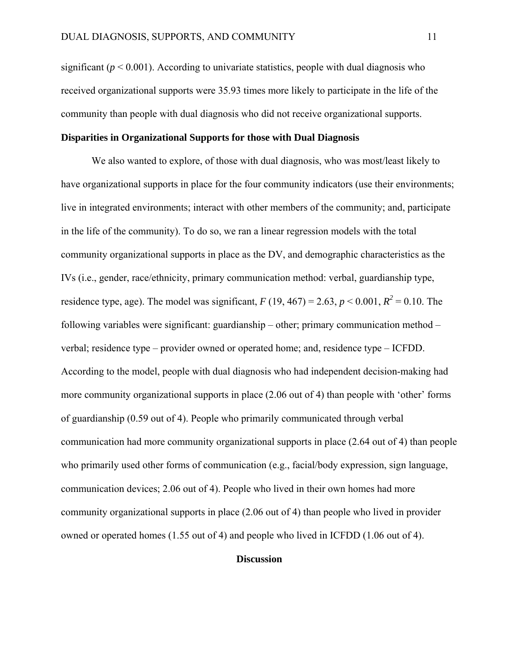significant  $(p < 0.001)$ . According to univariate statistics, people with dual diagnosis who received organizational supports were 35.93 times more likely to participate in the life of the community than people with dual diagnosis who did not receive organizational supports.

### **Disparities in Organizational Supports for those with Dual Diagnosis**

We also wanted to explore, of those with dual diagnosis, who was most/least likely to have organizational supports in place for the four community indicators (use their environments; live in integrated environments; interact with other members of the community; and, participate in the life of the community). To do so, we ran a linear regression models with the total community organizational supports in place as the DV, and demographic characteristics as the IVs (i.e., gender, race/ethnicity, primary communication method: verbal, guardianship type, residence type, age). The model was significant,  $F(19, 467) = 2.63$ ,  $p < 0.001$ ,  $R^2 = 0.10$ . The following variables were significant: guardianship – other; primary communication method – verbal; residence type – provider owned or operated home; and, residence type – ICFDD. According to the model, people with dual diagnosis who had independent decision-making had more community organizational supports in place (2.06 out of 4) than people with 'other' forms of guardianship (0.59 out of 4). People who primarily communicated through verbal communication had more community organizational supports in place (2.64 out of 4) than people who primarily used other forms of communication (e.g., facial/body expression, sign language, communication devices; 2.06 out of 4). People who lived in their own homes had more community organizational supports in place (2.06 out of 4) than people who lived in provider owned or operated homes (1.55 out of 4) and people who lived in ICFDD (1.06 out of 4).

## **Discussion**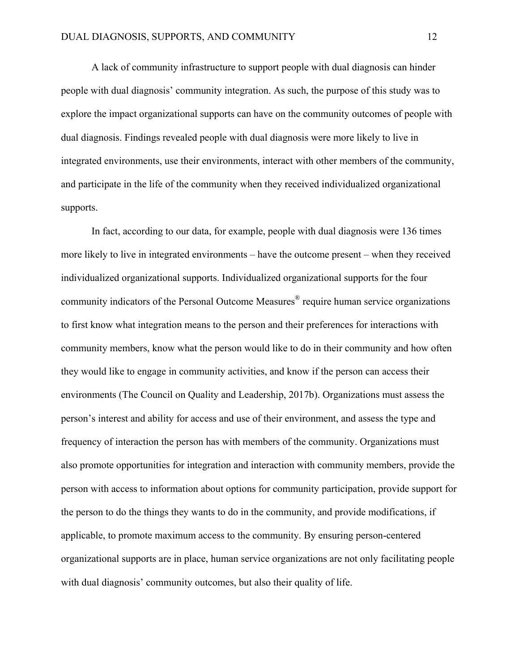A lack of community infrastructure to support people with dual diagnosis can hinder people with dual diagnosis' community integration. As such, the purpose of this study was to explore the impact organizational supports can have on the community outcomes of people with dual diagnosis. Findings revealed people with dual diagnosis were more likely to live in integrated environments, use their environments, interact with other members of the community, and participate in the life of the community when they received individualized organizational supports.

In fact, according to our data, for example, people with dual diagnosis were 136 times more likely to live in integrated environments – have the outcome present – when they received individualized organizational supports. Individualized organizational supports for the four community indicators of the Personal Outcome Measures® require human service organizations to first know what integration means to the person and their preferences for interactions with community members, know what the person would like to do in their community and how often they would like to engage in community activities, and know if the person can access their environments (The Council on Quality and Leadership, 2017b). Organizations must assess the person's interest and ability for access and use of their environment, and assess the type and frequency of interaction the person has with members of the community. Organizations must also promote opportunities for integration and interaction with community members, provide the person with access to information about options for community participation, provide support for the person to do the things they wants to do in the community, and provide modifications, if applicable, to promote maximum access to the community. By ensuring person-centered organizational supports are in place, human service organizations are not only facilitating people with dual diagnosis' community outcomes, but also their quality of life.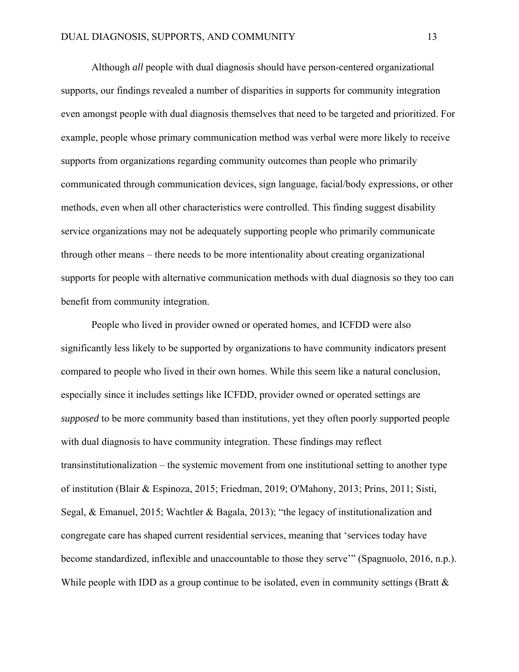Although *all* people with dual diagnosis should have person-centered organizational supports, our findings revealed a number of disparities in supports for community integration even amongst people with dual diagnosis themselves that need to be targeted and prioritized. For example, people whose primary communication method was verbal were more likely to receive supports from organizations regarding community outcomes than people who primarily communicated through communication devices, sign language, facial/body expressions, or other methods, even when all other characteristics were controlled. This finding suggest disability service organizations may not be adequately supporting people who primarily communicate through other means – there needs to be more intentionality about creating organizational supports for people with alternative communication methods with dual diagnosis so they too can benefit from community integration.

People who lived in provider owned or operated homes, and ICFDD were also significantly less likely to be supported by organizations to have community indicators present compared to people who lived in their own homes. While this seem like a natural conclusion, especially since it includes settings like ICFDD, provider owned or operated settings are *supposed* to be more community based than institutions, yet they often poorly supported people with dual diagnosis to have community integration. These findings may reflect transinstitutionalization – the systemic movement from one institutional setting to another type of institution (Blair & Espinoza, 2015; Friedman, 2019; O'Mahony, 2013; Prins, 2011; Sisti, Segal, & Emanuel, 2015; Wachtler & Bagala, 2013); "the legacy of institutionalization and congregate care has shaped current residential services, meaning that 'services today have become standardized, inflexible and unaccountable to those they serve'" (Spagnuolo, 2016, n.p.). While people with IDD as a group continue to be isolated, even in community settings (Bratt  $\&$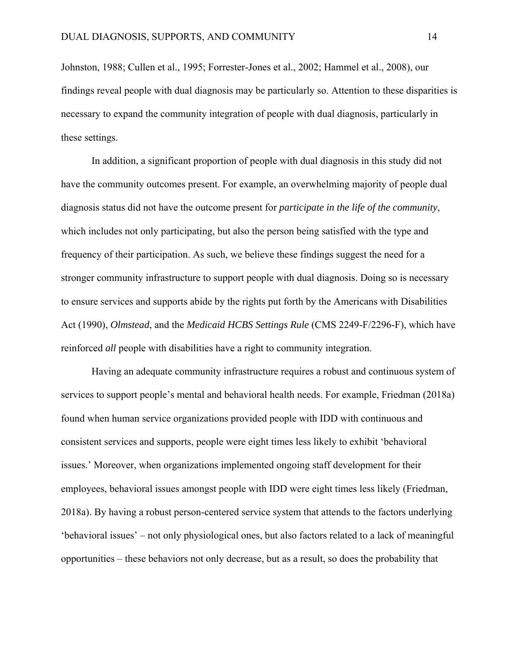Johnston, 1988; Cullen et al., 1995; Forrester-Jones et al., 2002; Hammel et al., 2008), our findings reveal people with dual diagnosis may be particularly so. Attention to these disparities is necessary to expand the community integration of people with dual diagnosis, particularly in these settings.

In addition, a significant proportion of people with dual diagnosis in this study did not have the community outcomes present. For example, an overwhelming majority of people dual diagnosis status did not have the outcome present for *participate in the life of the community*, which includes not only participating, but also the person being satisfied with the type and frequency of their participation. As such, we believe these findings suggest the need for a stronger community infrastructure to support people with dual diagnosis. Doing so is necessary to ensure services and supports abide by the rights put forth by the Americans with Disabilities Act (1990), *Olmstead*, and the *Medicaid HCBS Settings Rule* (CMS 2249-F/2296-F), which have reinforced *all* people with disabilities have a right to community integration.

Having an adequate community infrastructure requires a robust and continuous system of services to support people's mental and behavioral health needs. For example, Friedman (2018a) found when human service organizations provided people with IDD with continuous and consistent services and supports, people were eight times less likely to exhibit 'behavioral issues.' Moreover, when organizations implemented ongoing staff development for their employees, behavioral issues amongst people with IDD were eight times less likely (Friedman, 2018a). By having a robust person-centered service system that attends to the factors underlying 'behavioral issues' – not only physiological ones, but also factors related to a lack of meaningful opportunities – these behaviors not only decrease, but as a result, so does the probability that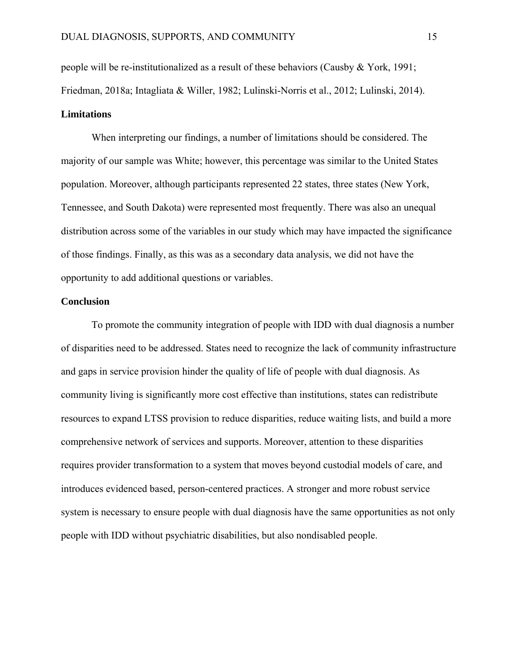people will be re-institutionalized as a result of these behaviors (Causby & York, 1991; Friedman, 2018a; Intagliata & Willer, 1982; Lulinski-Norris et al., 2012; Lulinski, 2014). **Limitations** 

When interpreting our findings, a number of limitations should be considered. The majority of our sample was White; however, this percentage was similar to the United States population. Moreover, although participants represented 22 states, three states (New York, Tennessee, and South Dakota) were represented most frequently. There was also an unequal distribution across some of the variables in our study which may have impacted the significance of those findings. Finally, as this was as a secondary data analysis, we did not have the opportunity to add additional questions or variables.

#### **Conclusion**

To promote the community integration of people with IDD with dual diagnosis a number of disparities need to be addressed. States need to recognize the lack of community infrastructure and gaps in service provision hinder the quality of life of people with dual diagnosis. As community living is significantly more cost effective than institutions, states can redistribute resources to expand LTSS provision to reduce disparities, reduce waiting lists, and build a more comprehensive network of services and supports. Moreover, attention to these disparities requires provider transformation to a system that moves beyond custodial models of care, and introduces evidenced based, person-centered practices. A stronger and more robust service system is necessary to ensure people with dual diagnosis have the same opportunities as not only people with IDD without psychiatric disabilities, but also nondisabled people.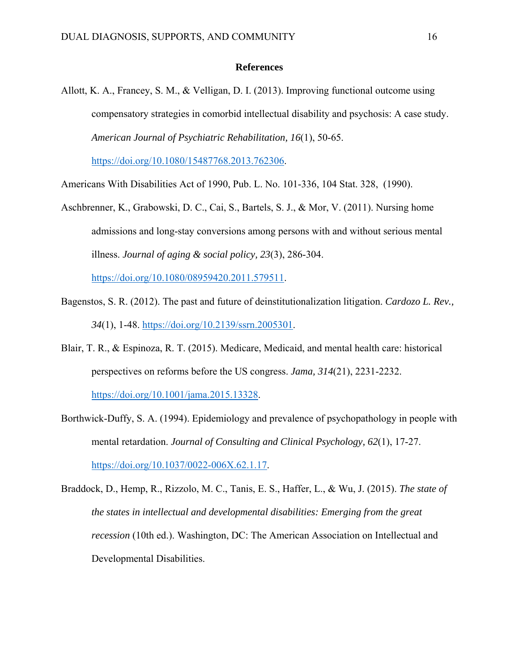#### **References**

Allott, K. A., Francey, S. M., & Velligan, D. I. (2013). Improving functional outcome using compensatory strategies in comorbid intellectual disability and psychosis: A case study. *American Journal of Psychiatric Rehabilitation, 16*(1), 50-65.

https://doi.org/10.1080/15487768.2013.762306.

Americans With Disabilities Act of 1990, Pub. L. No. 101-336, 104 Stat. 328, (1990).

Aschbrenner, K., Grabowski, D. C., Cai, S., Bartels, S. J., & Mor, V. (2011). Nursing home admissions and long-stay conversions among persons with and without serious mental illness. *Journal of aging & social policy, 23*(3), 286-304.

https://doi.org/10.1080/08959420.2011.579511.

- Bagenstos, S. R. (2012). The past and future of deinstitutionalization litigation. *Cardozo L. Rev., 34*(1), 1-48. https://doi.org/10.2139/ssrn.2005301.
- Blair, T. R., & Espinoza, R. T. (2015). Medicare, Medicaid, and mental health care: historical perspectives on reforms before the US congress. *Jama, 314*(21), 2231-2232. https://doi.org/10.1001/jama.2015.13328.
- Borthwick-Duffy, S. A. (1994). Epidemiology and prevalence of psychopathology in people with mental retardation. *Journal of Consulting and Clinical Psychology, 62*(1), 17-27. https://doi.org/10.1037/0022-006X.62.1.17.
- Braddock, D., Hemp, R., Rizzolo, M. C., Tanis, E. S., Haffer, L., & Wu, J. (2015). *The state of the states in intellectual and developmental disabilities: Emerging from the great recession* (10th ed.). Washington, DC: The American Association on Intellectual and Developmental Disabilities.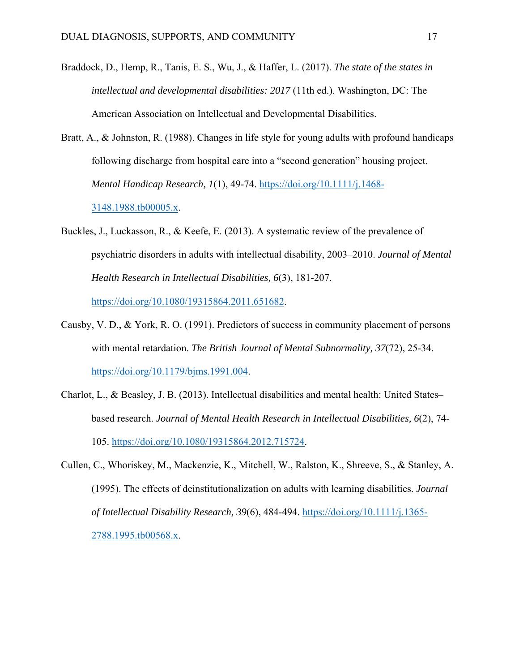- Braddock, D., Hemp, R., Tanis, E. S., Wu, J., & Haffer, L. (2017). *The state of the states in intellectual and developmental disabilities: 2017* (11th ed.). Washington, DC: The American Association on Intellectual and Developmental Disabilities.
- Bratt, A., & Johnston, R. (1988). Changes in life style for young adults with profound handicaps following discharge from hospital care into a "second generation" housing project. *Mental Handicap Research, 1*(1), 49-74. https://doi.org/10.1111/j.1468- 3148.1988.tb00005.x.
- Buckles, J., Luckasson, R., & Keefe, E. (2013). A systematic review of the prevalence of psychiatric disorders in adults with intellectual disability, 2003–2010. *Journal of Mental Health Research in Intellectual Disabilities, 6*(3), 181-207. https://doi.org/10.1080/19315864.2011.651682.
- Causby, V. D., & York, R. O. (1991). Predictors of success in community placement of persons with mental retardation. *The British Journal of Mental Subnormality, 37*(72), 25-34. https://doi.org/10.1179/bjms.1991.004.
- Charlot, L., & Beasley, J. B. (2013). Intellectual disabilities and mental health: United States– based research. *Journal of Mental Health Research in Intellectual Disabilities, 6*(2), 74- 105. https://doi.org/10.1080/19315864.2012.715724.
- Cullen, C., Whoriskey, M., Mackenzie, K., Mitchell, W., Ralston, K., Shreeve, S., & Stanley, A. (1995). The effects of deinstitutionalization on adults with learning disabilities. *Journal of Intellectual Disability Research, 39*(6), 484-494. https://doi.org/10.1111/j.1365- 2788.1995.tb00568.x.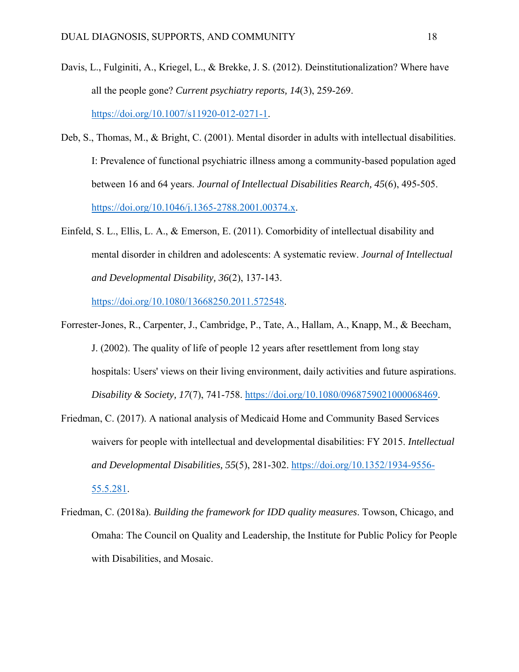- Davis, L., Fulginiti, A., Kriegel, L., & Brekke, J. S. (2012). Deinstitutionalization? Where have all the people gone? *Current psychiatry reports, 14*(3), 259-269. https://doi.org/10.1007/s11920-012-0271-1.
- Deb, S., Thomas, M., & Bright, C. (2001). Mental disorder in adults with intellectual disabilities. I: Prevalence of functional psychiatric illness among a community-based population aged between 16 and 64 years. *Journal of Intellectual Disabilities Rearch, 45*(6), 495-505. https://doi.org/10.1046/j.1365-2788.2001.00374.x.
- Einfeld, S. L., Ellis, L. A., & Emerson, E. (2011). Comorbidity of intellectual disability and mental disorder in children and adolescents: A systematic review. *Journal of Intellectual and Developmental Disability, 36*(2), 137-143.

https://doi.org/10.1080/13668250.2011.572548.

- Forrester-Jones, R., Carpenter, J., Cambridge, P., Tate, A., Hallam, A., Knapp, M., & Beecham, J. (2002). The quality of life of people 12 years after resettlement from long stay hospitals: Users' views on their living environment, daily activities and future aspirations. *Disability & Society, 17*(7), 741-758. https://doi.org/10.1080/0968759021000068469.
- Friedman, C. (2017). A national analysis of Medicaid Home and Community Based Services waivers for people with intellectual and developmental disabilities: FY 2015. *Intellectual and Developmental Disabilities, 55*(5), 281-302. https://doi.org/10.1352/1934-9556- 55.5.281.
- Friedman, C. (2018a). *Building the framework for IDD quality measures*. Towson, Chicago, and Omaha: The Council on Quality and Leadership, the Institute for Public Policy for People with Disabilities, and Mosaic.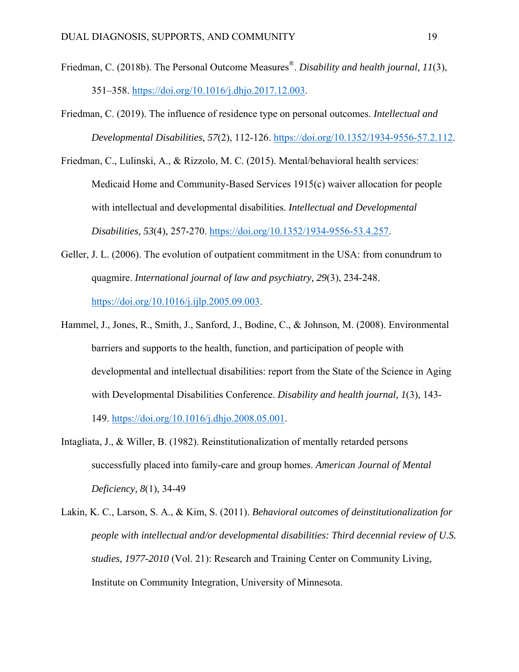- Friedman, C. (2018b). The Personal Outcome Measures®. *Disability and health journal, 11*(3), 351–358. https://doi.org/10.1016/j.dhjo.2017.12.003.
- Friedman, C. (2019). The influence of residence type on personal outcomes. *Intellectual and Developmental Disabilities, 57*(2), 112-126. https://doi.org/10.1352/1934-9556-57.2.112.
- Friedman, C., Lulinski, A., & Rizzolo, M. C. (2015). Mental/behavioral health services: Medicaid Home and Community-Based Services 1915(c) waiver allocation for people with intellectual and developmental disabilities. *Intellectual and Developmental Disabilities, 53*(4), 257-270. https://doi.org/10.1352/1934-9556-53.4.257.
- Geller, J. L. (2006). The evolution of outpatient commitment in the USA: from conundrum to quagmire. *International journal of law and psychiatry, 29*(3), 234-248. https://doi.org/10.1016/j.ijlp.2005.09.003.
- Hammel, J., Jones, R., Smith, J., Sanford, J., Bodine, C., & Johnson, M. (2008). Environmental barriers and supports to the health, function, and participation of people with developmental and intellectual disabilities: report from the State of the Science in Aging with Developmental Disabilities Conference. *Disability and health journal, 1*(3), 143- 149. https://doi.org/10.1016/j.dhjo.2008.05.001.
- Intagliata, J., & Willer, B. (1982). Reinstitutionalization of mentally retarded persons successfully placed into family-care and group homes. *American Journal of Mental Deficiency, 8*(1), 34-49
- Lakin, K. C., Larson, S. A., & Kim, S. (2011). *Behavioral outcomes of deinstitutionalization for people with intellectual and/or developmental disabilities: Third decennial review of U.S. studies, 1977-2010* (Vol. 21): Research and Training Center on Community Living, Institute on Community Integration, University of Minnesota.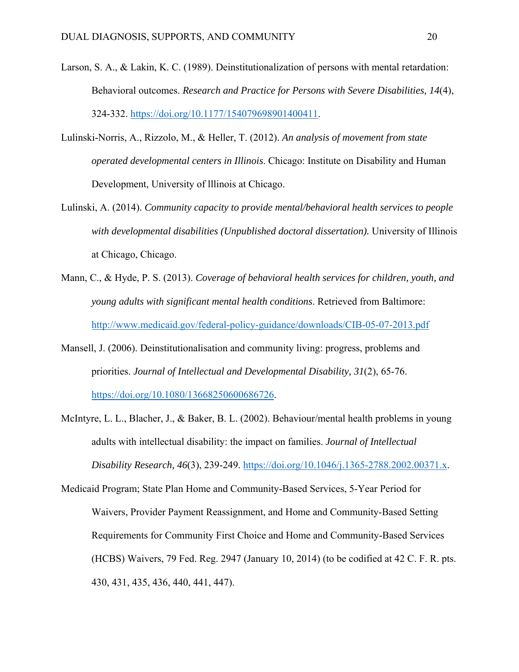- Larson, S. A., & Lakin, K. C. (1989). Deinstitutionalization of persons with mental retardation: Behavioral outcomes. *Research and Practice for Persons with Severe Disabilities, 14*(4), 324-332. https://doi.org/10.1177/154079698901400411.
- Lulinski-Norris, A., Rizzolo, M., & Heller, T. (2012). *An analysis of movement from state operated developmental centers in Illinois*. Chicago: Institute on Disability and Human Development, University of lllinois at Chicago.
- Lulinski, A. (2014). *Community capacity to provide mental/behavioral health services to people with developmental disabilities (Unpublished doctoral dissertation).* University of Illinois at Chicago, Chicago.
- Mann, C., & Hyde, P. S. (2013). *Coverage of behavioral health services for children, youth, and young adults with significant mental health conditions*. Retrieved from Baltimore: http://www.medicaid.gov/federal-policy-guidance/downloads/CIB-05-07-2013.pdf
- Mansell, J. (2006). Deinstitutionalisation and community living: progress, problems and priorities. *Journal of Intellectual and Developmental Disability, 31*(2), 65-76. https://doi.org/10.1080/13668250600686726.
- McIntyre, L. L., Blacher, J., & Baker, B. L. (2002). Behaviour/mental health problems in young adults with intellectual disability: the impact on families. *Journal of Intellectual Disability Research, 46*(3), 239-249. https://doi.org/10.1046/j.1365-2788.2002.00371.x.

Medicaid Program; State Plan Home and Community-Based Services, 5-Year Period for Waivers, Provider Payment Reassignment, and Home and Community-Based Setting Requirements for Community First Choice and Home and Community-Based Services (HCBS) Waivers, 79 Fed. Reg. 2947 (January 10, 2014) (to be codified at 42 C. F. R. pts. 430, 431, 435, 436, 440, 441, 447).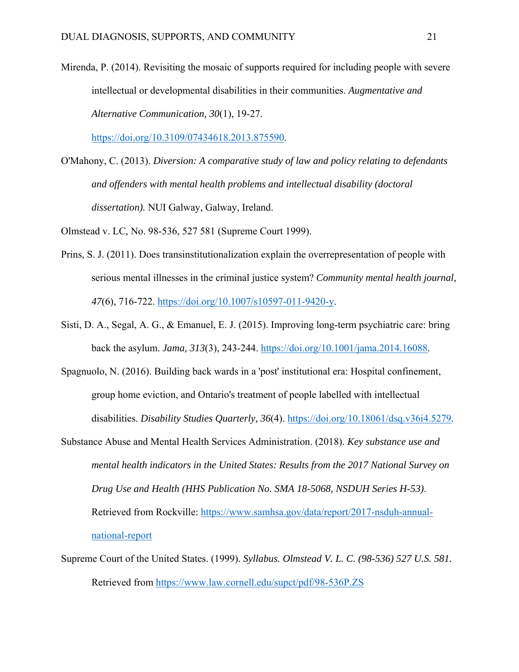Mirenda, P. (2014). Revisiting the mosaic of supports required for including people with severe intellectual or developmental disabilities in their communities. *Augmentative and Alternative Communication, 30*(1), 19-27.

https://doi.org/10.3109/07434618.2013.875590.

O'Mahony, C. (2013). *Diversion: A comparative study of law and policy relating to defendants and offenders with mental health problems and intellectual disability (doctoral dissertation).* NUI Galway, Galway, Ireland.

Olmstead v. LC, No. 98-536, 527 581 (Supreme Court 1999).

- Prins, S. J. (2011). Does transinstitutionalization explain the overrepresentation of people with serious mental illnesses in the criminal justice system? *Community mental health journal, 47*(6), 716-722. https://doi.org/10.1007/s10597-011-9420-y.
- Sisti, D. A., Segal, A. G., & Emanuel, E. J. (2015). Improving long-term psychiatric care: bring back the asylum. *Jama, 313*(3), 243-244. https://doi.org/10.1001/jama.2014.16088.
- Spagnuolo, N. (2016). Building back wards in a 'post' institutional era: Hospital confinement, group home eviction, and Ontario's treatment of people labelled with intellectual disabilities. *Disability Studies Quarterly, 36*(4). https://doi.org/10.18061/dsq.v36i4.5279.
- Substance Abuse and Mental Health Services Administration. (2018). *Key substance use and mental health indicators in the United States: Results from the 2017 National Survey on Drug Use and Health (HHS Publication No. SMA 18-5068, NSDUH Series H-53)*. Retrieved from Rockville: https://www.samhsa.gov/data/report/2017-nsduh-annualnational-report
- Supreme Court of the United States. (1999). *Syllabus. Olmstead V. L. C. (98-536) 527 U.S. 581.* Retrieved from https://www.law.cornell.edu/supct/pdf/98-536P.ZS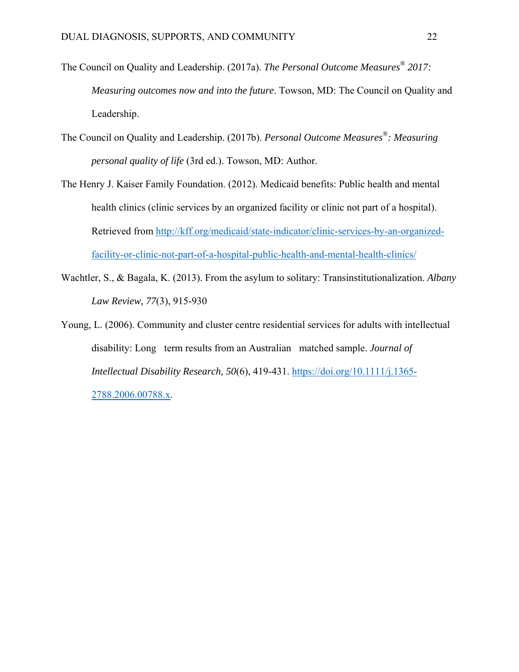- The Council on Quality and Leadership. (2017a). *The Personal Outcome Measures® 2017: Measuring outcomes now and into the future*. Towson, MD: The Council on Quality and Leadership.
- The Council on Quality and Leadership. (2017b). *Personal Outcome Measures®: Measuring personal quality of life* (3rd ed.). Towson, MD: Author.
- The Henry J. Kaiser Family Foundation. (2012). Medicaid benefits: Public health and mental health clinics (clinic services by an organized facility or clinic not part of a hospital). Retrieved from http://kff.org/medicaid/state-indicator/clinic-services-by-an-organizedfacility-or-clinic-not-part-of-a-hospital-public-health-and-mental-health-clinics/
- Wachtler, S., & Bagala, K. (2013). From the asylum to solitary: Transinstitutionalization. *Albany Law Review, 77*(3), 915-930
- Young, L. (2006). Community and cluster centre residential services for adults with intellectual disability: Long term results from an Australian matched sample. *Journal of Intellectual Disability Research, 50*(6), 419-431. https://doi.org/10.1111/j.1365- 2788.2006.00788.x.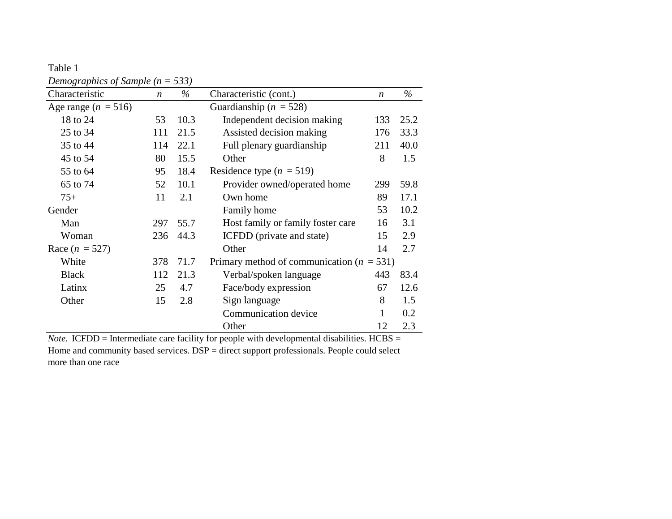| Table 1                              |  |
|--------------------------------------|--|
| Demographics of Sample ( $n = 533$ ) |  |

| Characteristic          | $\boldsymbol{n}$ | $\%$ | Characteristic (cont.)                        | $\boldsymbol{n}$ | $\%$ |
|-------------------------|------------------|------|-----------------------------------------------|------------------|------|
| Age range ( $n = 516$ ) |                  |      | Guardianship ( $n = 528$ )                    |                  |      |
| 18 to 24                | 53               | 10.3 | Independent decision making                   |                  | 25.2 |
| 25 to 34                | 111              | 21.5 | Assisted decision making                      |                  | 33.3 |
| 35 to 44                | 114              | 22.1 | Full plenary guardianship                     |                  | 40.0 |
| 45 to 54                | 80               | 15.5 | Other                                         |                  | 1.5  |
| 55 to 64                | 95               | 18.4 | Residence type $(n = 519)$                    |                  |      |
| 65 to 74                | 52               | 10.1 | Provider owned/operated home                  | 299              | 59.8 |
| $75+$                   | 11               | 2.1  | Own home                                      | 89               | 17.1 |
| Gender                  |                  |      | Family home                                   | 53               | 10.2 |
| Man                     | 297              | 55.7 | Host family or family foster care             | 16               | 3.1  |
| Woman                   | 236              | 44.3 | ICFDD (private and state)                     | 15               | 2.9  |
| Race $(n = 527)$        |                  |      | 14<br>Other                                   |                  | 2.7  |
| White                   | 378              | 71.7 | Primary method of communication ( $n = 531$ ) |                  |      |
| <b>Black</b>            | 112              | 21.3 | Verbal/spoken language                        | 443              | 83.4 |
| Latinx                  | 25               | 4.7  | Face/body expression                          | 67               | 12.6 |
| Other                   | 15               | 2.8  | Sign language                                 | 8                | 1.5  |
|                         |                  |      | Communication device                          | 1                | 0.2  |
|                         |                  |      | Other                                         | 12               | 2.3  |

*Note.* ICFDD = Intermediate care facility for people with developmental disabilities. HCBS = Home and community based services. DSP = direct support professionals. People could select more than one race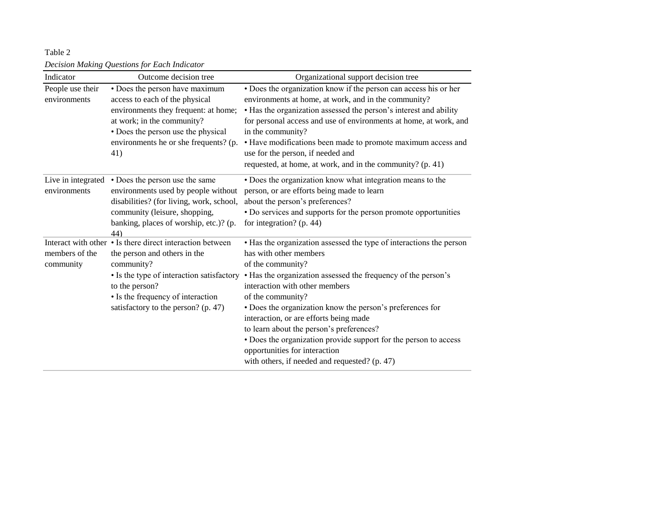Table 2 *Decision Making Questions for Each Indicator*

| Indicator                          | Outcome decision tree                                                                                                                                                                                                                              | Organizational support decision tree                                                                                                                                                                                                                                                                                                                                                                                                                                                                                                                |
|------------------------------------|----------------------------------------------------------------------------------------------------------------------------------------------------------------------------------------------------------------------------------------------------|-----------------------------------------------------------------------------------------------------------------------------------------------------------------------------------------------------------------------------------------------------------------------------------------------------------------------------------------------------------------------------------------------------------------------------------------------------------------------------------------------------------------------------------------------------|
| People use their<br>environments   | • Does the person have maximum<br>access to each of the physical<br>environments they frequent: at home;<br>at work; in the community?<br>• Does the person use the physical<br>environments he or she frequents? (p.<br>41)                       | • Does the organization know if the person can access his or her<br>environments at home, at work, and in the community?<br>• Has the organization assessed the person's interest and ability<br>for personal access and use of environments at home, at work, and<br>in the community?<br>• Have modifications been made to promote maximum access and<br>use for the person, if needed and<br>requested, at home, at work, and in the community? (p. 41)                                                                                          |
| Live in integrated<br>environments | • Does the person use the same<br>environments used by people without<br>disabilities? (for living, work, school,<br>community (leisure, shopping,<br>banking, places of worship, etc.)? (p.<br>44)                                                | • Does the organization know what integration means to the<br>person, or are efforts being made to learn<br>about the person's preferences?<br>• Do services and supports for the person promote opportunities<br>for integration? $(p. 44)$                                                                                                                                                                                                                                                                                                        |
| members of the<br>community        | Interact with other • Is there direct interaction between<br>the person and others in the<br>community?<br>• Is the type of interaction satisfactory<br>to the person?<br>• Is the frequency of interaction<br>satisfactory to the person? (p. 47) | • Has the organization assessed the type of interactions the person<br>has with other members<br>of the community?<br>• Has the organization assessed the frequency of the person's<br>interaction with other members<br>of the community?<br>• Does the organization know the person's preferences for<br>interaction, or are efforts being made<br>to learn about the person's preferences?<br>• Does the organization provide support for the person to access<br>opportunities for interaction<br>with others, if needed and requested? (p. 47) |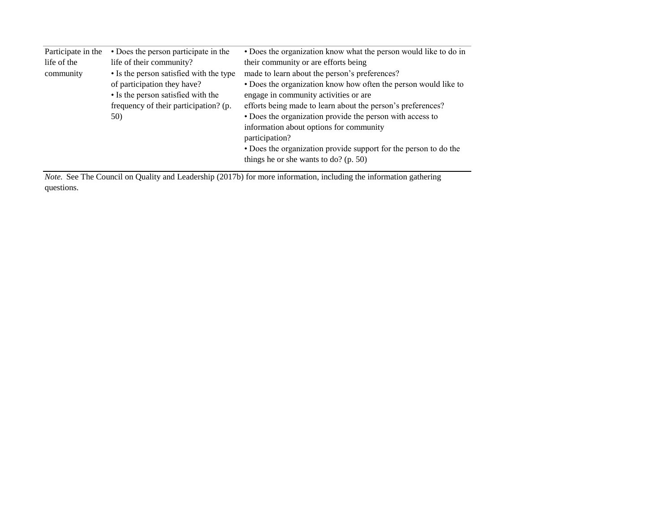| • Does the organization know what the person would like to do in<br>• Does the person participate in the |
|----------------------------------------------------------------------------------------------------------|
| their community or are efforts being                                                                     |
| • Is the person satisfied with the type<br>made to learn about the person's preferences?                 |
| • Does the organization know how often the person would like to                                          |
| • Is the person satisfied with the<br>engage in community activities or are                              |
| efforts being made to learn about the person's preferences?<br>frequency of their participation? (p.     |
| • Does the organization provide the person with access to                                                |
| information about options for community                                                                  |
| participation?                                                                                           |
| • Does the organization provide support for the person to do the                                         |
| things he or she wants to do? (p. 50)                                                                    |
| life of their community?<br>of participation they have?                                                  |

*Note.* See The Council on Quality and Leadership (2017b) for more information, including the information gathering questions.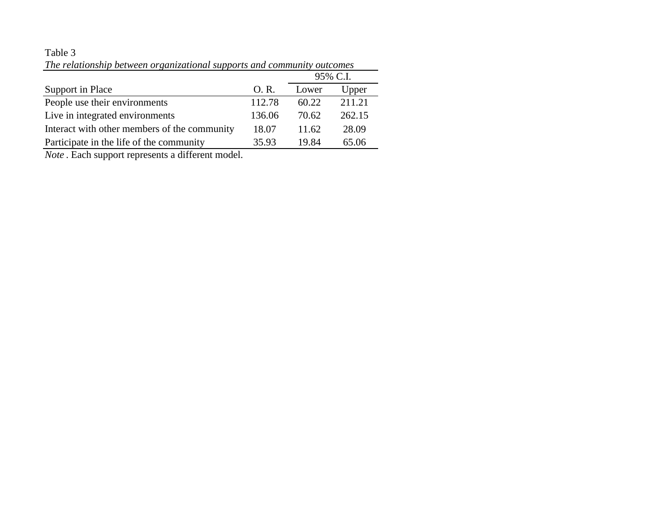# Table 3

|                                              |        | 95% C.I. |        |
|----------------------------------------------|--------|----------|--------|
| Support in Place                             | O.R.   | Lower    | Upper  |
| People use their environments                | 112.78 | 60.22    | 211.21 |
| Live in integrated environments              | 136.06 | 70.62    | 262.15 |
| Interact with other members of the community | 18.07  | 11.62    | 28.09  |
| Participate in the life of the community     | 35.93  | 19.84    | 65.06  |

*The relationship between organizational supports and community outcomes*

*Note* . Each support represents a different model.